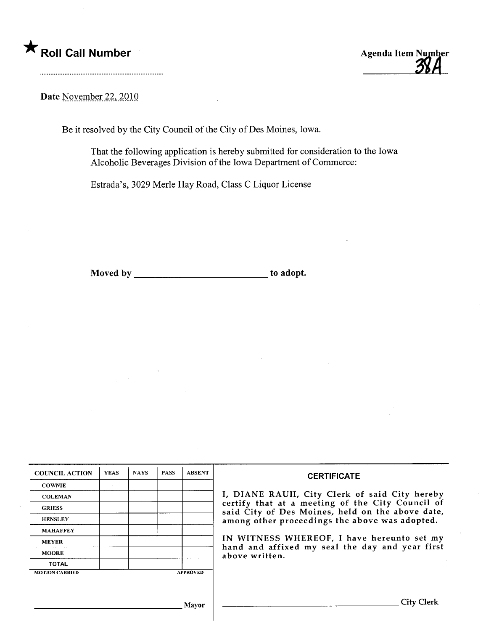

## Date November 22, 2010

Be it resolved by the City Council of the City of Des Moines, Iowa.

That the following application is hereby submitted for consideration to the Iowa Alcoholic Beverages Division of the Iowa Deparment of Commerce:

Estrada's, 3029 Merle Hay Road, Class C Liquor License

Moved by to adopt.

| <b>COUNCIL ACTION</b> | <b>YEAS</b> | <b>NAYS</b> | <b>PASS</b> | <b>ABSENT</b>   | <b>CERTIFICATE</b>                                                                                   |
|-----------------------|-------------|-------------|-------------|-----------------|------------------------------------------------------------------------------------------------------|
| <b>COWNIE</b>         |             |             |             |                 |                                                                                                      |
| <b>COLEMAN</b>        |             |             |             |                 | I, DIANE RAUH, City Clerk of said City hereby                                                        |
| <b>GRIESS</b>         |             |             |             |                 | certify that at a meeting of the City Council of<br>said City of Des Moines, held on the above date, |
| <b>HENSLEY</b>        |             |             |             |                 | among other proceedings the above was adopted.                                                       |
| <b>MAHAFFEY</b>       |             |             |             |                 |                                                                                                      |
| <b>MEYER</b>          |             |             |             |                 | IN WITNESS WHEREOF, I have hereunto set my<br>hand and affixed my seal the day and year first        |
| <b>MOORE</b>          |             |             |             |                 | above written.                                                                                       |
| <b>TOTAL</b>          |             |             |             |                 |                                                                                                      |
| <b>MOTION CARRIED</b> |             |             |             | <b>APPROVED</b> |                                                                                                      |
|                       |             |             |             |                 |                                                                                                      |
|                       |             |             |             | Mavor           | <b>City Clerk</b>                                                                                    |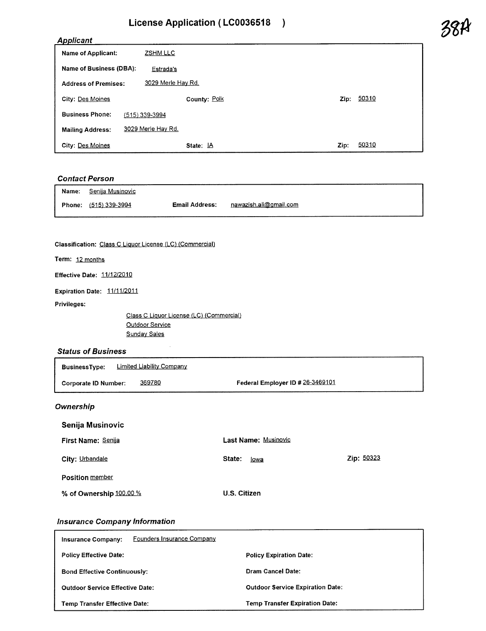# License Application (LC0036518 )<br>Applicant 28A

| <b>Name of Applicant:</b>   | <b>ZSHM LLC</b>    |               |
|-----------------------------|--------------------|---------------|
| Name of Business (DBA):     | Estrada's          |               |
| <b>Address of Premises:</b> | 3029 Merle Hay Rd. |               |
| <b>City: Des Moines</b>     | County: Polk       | 50310<br>Zip: |
| <b>Business Phone:</b>      | (515) 339-3994     |               |
| <b>Mailing Address:</b>     | 3029 Merle Hay Rd. |               |
| <b>City: Des Moines</b>     | State: $\mathbb A$ | 50310<br>Zip: |

### Contact Person

| <b>Name:</b> Senija Musinovic |                |                               |
|-------------------------------|----------------|-------------------------------|
| Phone: (515) 339-3994         | Email Address: | <u>nawazish.ali@gmail.com</u> |

Classification: Class C Liquor License (LC) (Commercial)

Term: 12 months

Effective Date: 11/12/2010

Expiration Date: 11/11/2011

Privileges:

Class C Liquor License (LC) (Commercial) Outdoor Service **Sunday Sales** 

#### Status of Business

| <b>BusinessType:</b> | Limited Liability Company |                                  |
|----------------------|---------------------------|----------------------------------|
| Corporate ID Number: | 369780                    | Federal Employer ID # 26-3469101 |

#### **Ownership**

| Senija Musinovic          |                             |            |
|---------------------------|-----------------------------|------------|
| <b>First Name: Senija</b> | <b>Last Name: Musinovic</b> |            |
| City: Urbandale           | State:<br>lowa              | Zip: 50323 |
| <b>Position member</b>    |                             |            |
| % of Ownership 100.00 %   | U.S. Citizen                |            |

#### Insurance Company Information

| Founders Insurance Company<br><b>Insurance Company:</b> |                                         |
|---------------------------------------------------------|-----------------------------------------|
| <b>Policy Effective Date:</b>                           | <b>Policy Expiration Date:</b>          |
| <b>Bond Effective Continuously:</b>                     | Dram Cancel Date:                       |
| <b>Outdoor Service Effective Date:</b>                  | <b>Outdoor Service Expiration Date:</b> |
| <b>Temp Transfer Effective Date:</b>                    | <b>Temp Transfer Expiration Date:</b>   |